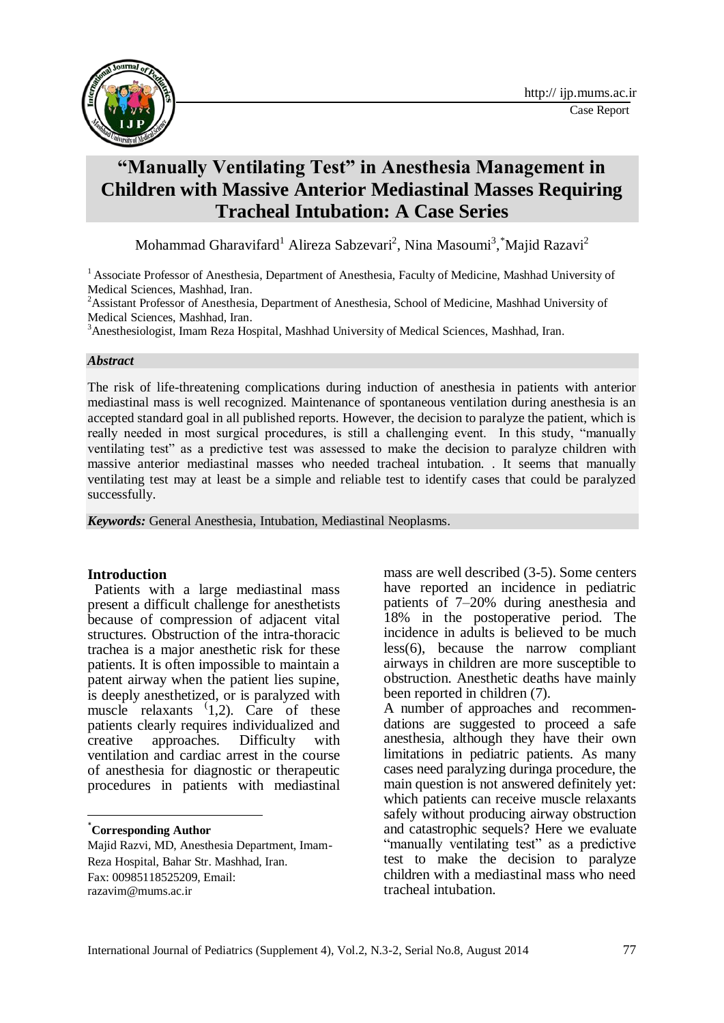

# **"Manually Ventilating Test" in Anesthesia Management in Children with Massive Anterior Mediastinal Masses Requiring Tracheal Intubation: A Case Series**

Mohammad Gharavifard<sup>1</sup> Alireza Sabzevari<sup>2</sup>, Nina Masoumi<sup>3</sup>,\*Majid Razavi<sup>2</sup>

<sup>1</sup> Associate Professor of Anesthesia, Department of Anesthesia, Faculty of Medicine, Mashhad University of Medical Sciences, Mashhad, Iran.

<sup>2</sup> Assistant Professor of Anesthesia, Department of Anesthesia, School of Medicine, Mashhad University of Medical Sciences, Mashhad, Iran.

<sup>3</sup>Anesthesiologist, Imam Reza Hospital, Mashhad University of Medical Sciences, Mashhad, Iran.

#### *Abstract*

The risk of life-threatening complications during induction of anesthesia in patients with anterior mediastinal mass is well recognized. Maintenance of spontaneous ventilation during anesthesia is an accepted standard goal in all published reports. However, the decision to paralyze the patient, which is really needed in most surgical procedures, is still a challenging event. In this study, "manually ventilating test" as a predictive test was assessed to make the decision to paralyze children with massive anterior mediastinal masses who needed tracheal intubation. . It seems that manually ventilating test may at least be a simple and reliable test to identify cases that could be paralyzed successfully.

*Keywords:* General Anesthesia, Intubation, [Mediastinal Neoplasms.](http://www.ncbi.nlm.nih.gov/pubmed/2350036)

## **Introduction\***

Patients with a large mediastinal mass present a difficult challenge for anesthetists because of compression of adjacent vital structures. Obstruction of the intra-thoracic trachea is a major anesthetic risk for these patients. It is often impossible to maintain a patent airway when the patient lies supine, is deeply anesthetized, or is paralyzed with muscle relaxants  $(1,2)$ . Care of these patients clearly requires individualized and creative approaches. Difficulty with ventilation and cardiac arrest in the course of anesthesia for diagnostic or therapeutic procedures in patients with mediastinal

\***Corresponding Author**

**.** 

Majid Razvi, MD, Anesthesia Department, Imam-Reza Hospital, Bahar Str. Mashhad, Iran. Fax: 00985118525209, Email: razavim@mums.ac.ir

mass are well described (3-5). Some centers have reported an incidence in pediatric patients of 7–20% during anesthesia and 18% in the postoperative period. The incidence in adults is believed to be much less(6), because the narrow compliant airways in children are more susceptible to obstruction. Anesthetic deaths have mainly been reported in children (7).

A number of approaches and recommendations are suggested to proceed a safe anesthesia, although they have their own limitations in pediatric patients. As many cases need paralyzing duringa procedure, the main question is not answered definitely yet: which patients can receive muscle relaxants safely without producing airway obstruction and catastrophic sequels? Here we evaluate "manually ventilating test" as a predictive test to make the decision to paralyze children with a mediastinal mass who need tracheal intubation.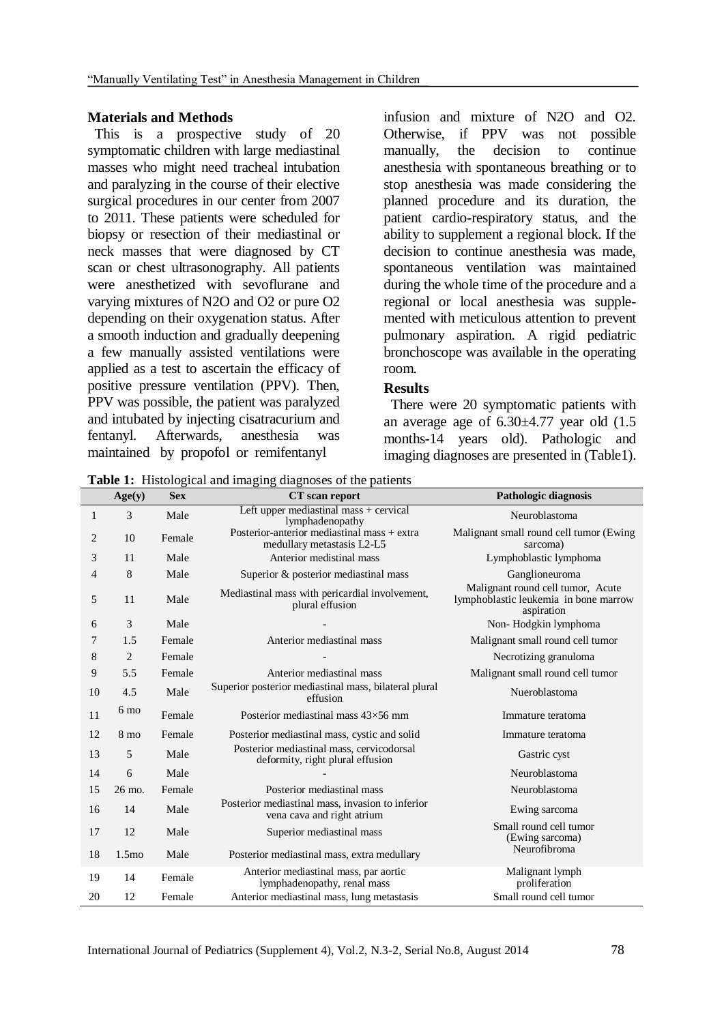#### **Materials and Methods**

This is a prospective study of 20 symptomatic children with large mediastinal masses who might need tracheal intubation and paralyzing in the course of their elective surgical procedures in our center from 2007 to 2011. These patients were scheduled for biopsy or resection of their mediastinal or neck masses that were diagnosed by CT scan or chest ultrasonography. All patients were anesthetized with sevoflurane and varying mixtures of N2O and O2 or pure O2 depending on their oxygenation status. After a smooth induction and gradually deepening a few manually assisted ventilations were applied as a test to ascertain the efficacy of positive pressure ventilation (PPV). Then, PPV was possible, the patient was paralyzed and intubated by injecting cisatracurium and fentanyl. Afterwards, anesthesia was maintained by propofol or remifentanyl

infusion and mixture of N2O and O2. Otherwise, if PPV was not possible manually, the decision to continue anesthesia with spontaneous breathing or to stop anesthesia was made considering the planned procedure and its duration, the patient cardio-respiratory status, and the ability to supplement a regional block. If the decision to continue anesthesia was made, spontaneous ventilation was maintained during the whole time of the procedure and a regional or local anesthesia was supplemented with meticulous attention to prevent pulmonary aspiration. A rigid pediatric bronchoscope was available in the operating room.

#### **Results**

There were 20 symptomatic patients with an average age of  $6.30\pm4.77$  year old  $(1.5$ months-14 years old). Pathologic and imaging diagnoses are presented in (Table1).

**Table 1:** Histological and imaging diagnoses of the patients

|                | Age(y)            | <b>Sex</b> | CT scan report                                                                 | Pathologic diagnosis                                                                     |
|----------------|-------------------|------------|--------------------------------------------------------------------------------|------------------------------------------------------------------------------------------|
| 1              | $\mathfrak{Z}$    | Male       | Left upper mediastinal mass $+$ cervical<br>lymphadenopathy                    | Neuroblastoma                                                                            |
| $\overline{c}$ | 10                | Female     | Posterior-anterior mediastinal mass + extra<br>medullary metastasis L2-L5      | Malignant small round cell tumor (Ewing<br>sarcoma)                                      |
| 3              | 11                | Male       | Anterior medistinal mass                                                       | Lymphoblastic lymphoma                                                                   |
| $\overline{4}$ | 8                 | Male       | Superior & posterior mediastinal mass                                          | Ganglioneuroma                                                                           |
| 5              | 11                | Male       | Mediastinal mass with pericardial involvement,<br>plural effusion              | Malignant round cell tumor, Acute<br>lymphoblastic leukemia in bone marrow<br>aspiration |
| 6              | $\mathfrak{Z}$    | Male       |                                                                                | Non-Hodgkin lymphoma                                                                     |
| 7              | 1.5               | Female     | Anterior mediastinal mass                                                      | Malignant small round cell tumor                                                         |
| 8              | 2                 | Female     |                                                                                | Necrotizing granuloma                                                                    |
| 9              | 5.5               | Female     | Anterior mediastinal mass                                                      | Malignant small round cell tumor                                                         |
| 10             | 4.5               | Male       | Superior posterior mediastinal mass, bilateral plural<br>effusion              | Nueroblastoma                                                                            |
| 11             | 6 mo              | Female     | Posterior mediastinal mass $43\times56$ mm                                     | Immature teratoma                                                                        |
| 12             | $8 \text{ mo}$    | Female     | Posterior mediastinal mass, cystic and solid                                   | Immature teratoma                                                                        |
| 13             | 5                 | Male       | Posterior mediastinal mass, cervicodorsal<br>deformity, right plural effusion  | Gastric cyst                                                                             |
| 14             | 6                 | Male       |                                                                                | Neuroblastoma                                                                            |
| 15             | 26 mo.            | Female     | Posterior mediastinal mass                                                     | Neuroblastoma                                                                            |
| 16             | 14                | Male       | Posterior mediastinal mass, invasion to inferior<br>vena cava and right atrium | Ewing sarcoma                                                                            |
| 17             | 12                | Male       | Superior mediastinal mass                                                      | Small round cell tumor<br>(Ewing sarcoma)                                                |
| 18             | 1.5 <sub>mo</sub> | Male       | Posterior mediastinal mass, extra medullary                                    | Neurofibroma                                                                             |
| 19             | 14                | Female     | Anterior mediastinal mass, par aortic<br>lymphadenopathy, renal mass           | Malignant lymph<br>proliferation                                                         |
| 20             | 12                | Female     | Anterior mediastinal mass, lung metastasis                                     | Small round cell tumor                                                                   |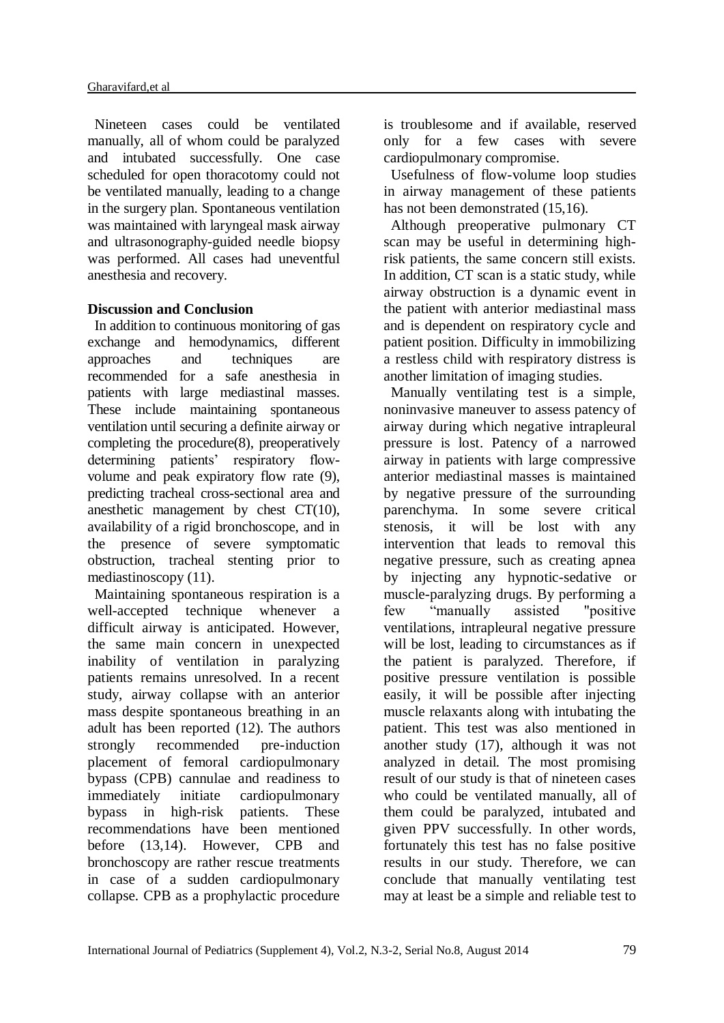Nineteen cases could be ventilated manually, all of whom could be paralyzed and intubated successfully. One case scheduled for open thoracotomy could not be ventilated manually, leading to a change in the surgery plan. Spontaneous ventilation was maintained with laryngeal mask airway and ultrasonography-guided needle biopsy was performed. All cases had uneventful anesthesia and recovery.

### **Discussion and Conclusion**

In addition to continuous monitoring of gas exchange and hemodynamics, different approaches and techniques are recommended for a safe anesthesia in patients with large mediastinal masses. These include maintaining spontaneous ventilation until securing a definite airway or completing the procedure(8), preoperatively determining patients' respiratory flowvolume and peak expiratory flow rate (9), predicting tracheal cross-sectional area and anesthetic management by chest CT(10), availability of a rigid bronchoscope, and in the presence of severe symptomatic obstruction, tracheal stenting prior to mediastinoscopy (11).

Maintaining spontaneous respiration is a well-accepted technique whenever a difficult airway is anticipated. However, the same main concern in unexpected inability of ventilation in paralyzing patients remains unresolved. In a recent study, airway collapse with an anterior mass despite spontaneous breathing in an adult has been reported (12). The authors strongly recommended pre-induction placement of femoral cardiopulmonary bypass (CPB) cannulae and readiness to immediately initiate cardiopulmonary bypass in high-risk patients. These recommendations have been mentioned before (13,14). However, CPB and bronchoscopy are rather rescue treatments in case of a sudden cardiopulmonary collapse. CPB as a prophylactic procedure

is troublesome and if available, reserved only for a few cases with severe cardiopulmonary compromise.

Usefulness of flow-volume loop studies in airway management of these patients has not been demonstrated (15,16).

Although preoperative pulmonary CT scan may be useful in determining highrisk patients, the same concern still exists. In addition, CT scan is a static study, while airway obstruction is a dynamic event in the patient with anterior mediastinal mass and is dependent on respiratory cycle and patient position. Difficulty in immobilizing a restless child with respiratory distress is another limitation of imaging studies.

Manually ventilating test is a simple, noninvasive maneuver to assess patency of airway during which negative intrapleural pressure is lost. Patency of a narrowed airway in patients with large compressive anterior mediastinal masses is maintained by negative pressure of the surrounding parenchyma. In some severe critical stenosis, it will be lost with any intervention that leads to removal this negative pressure, such as creating apnea by injecting any hypnotic-sedative or muscle-paralyzing drugs. By performing a few "manually assisted "positive ventilations, intrapleural negative pressure will be lost, leading to circumstances as if the patient is paralyzed. Therefore, if positive pressure ventilation is possible easily, it will be possible after injecting muscle relaxants along with intubating the patient. This test was also mentioned in another study (17), although it was not analyzed in detail. The most promising result of our study is that of nineteen cases who could be ventilated manually, all of them could be paralyzed, intubated and given PPV successfully. In other words, fortunately this test has no false positive results in our study. Therefore, we can conclude that manually ventilating test may at least be a simple and reliable test to